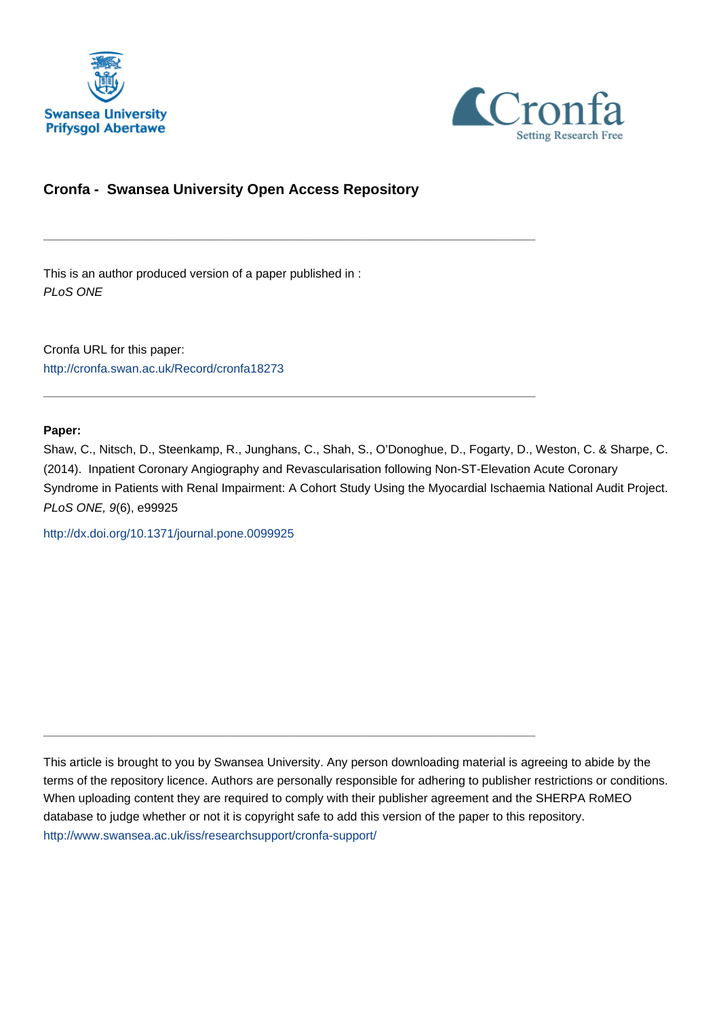



# **Cronfa - Swansea University Open Access Repository**

\_\_\_\_\_\_\_\_\_\_\_\_\_\_\_\_\_\_\_\_\_\_\_\_\_\_\_\_\_\_\_\_\_\_\_\_\_\_\_\_\_\_\_\_\_\_\_\_\_\_\_\_\_\_\_\_\_\_\_\_\_

 $\_$  , and the set of the set of the set of the set of the set of the set of the set of the set of the set of the set of the set of the set of the set of the set of the set of the set of the set of the set of the set of th

\_\_\_\_\_\_\_\_\_\_\_\_\_\_\_\_\_\_\_\_\_\_\_\_\_\_\_\_\_\_\_\_\_\_\_\_\_\_\_\_\_\_\_\_\_\_\_\_\_\_\_\_\_\_\_\_\_\_\_\_\_

This is an author produced version of a paper published in : PLoS ONE

Cronfa URL for this paper: <http://cronfa.swan.ac.uk/Record/cronfa18273>

## **Paper:**

Shaw, C., Nitsch, D., Steenkamp, R., Junghans, C., Shah, S., O'Donoghue, D., Fogarty, D., Weston, C. & Sharpe, C. (2014). Inpatient Coronary Angiography and Revascularisation following Non-ST-Elevation Acute Coronary Syndrome in Patients with Renal Impairment: A Cohort Study Using the Myocardial Ischaemia National Audit Project. PLoS ONE, 9(6), e99925

<http://dx.doi.org/10.1371/journal.pone.0099925>

This article is brought to you by Swansea University. Any person downloading material is agreeing to abide by the terms of the repository licence. Authors are personally responsible for adhering to publisher restrictions or conditions. When uploading content they are required to comply with their publisher agreement and the SHERPA RoMEO database to judge whether or not it is copyright safe to add this version of the paper to this repository. [http://www.swansea.ac.uk/iss/researchsupport/cronfa-support/](http://www.swansea.ac.uk/iss/researchsupport/cronfa-support/ )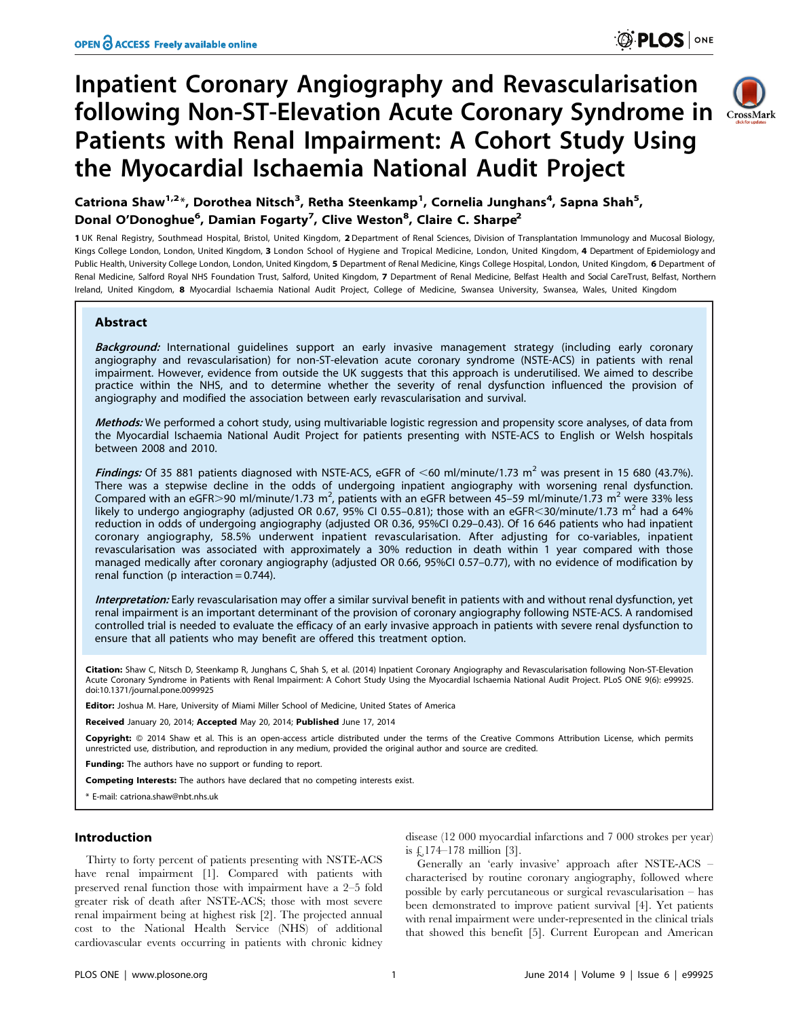# Inpatient Coronary Angiography and Revascularisation following Non-ST-Elevation Acute Coronary Syndrome in Patients with Renal Impairment: A Cohort Study Using the Myocardial Ischaemia National Audit Project

Catriona Shaw<sup>1,2</sup>\*, Dorothea Nitsch<sup>3</sup>, Retha Steenkamp<sup>1</sup>, Cornelia Junghans<sup>4</sup>, Sapna Shah<sup>5</sup>, Donal O'Donoghue<sup>6</sup>, Damian Fogarty<sup>7</sup>, Clive Weston<sup>8</sup>, Claire C. Sharpe<sup>2</sup>

1 UK Renal Registry, Southmead Hospital, Bristol, United Kingdom, 2 Department of Renal Sciences, Division of Transplantation Immunology and Mucosal Biology, Kings College London, London, United Kingdom, 3 London School of Hygiene and Tropical Medicine, London, United Kingdom, 4 Department of Epidemiology and Public Health, University College London, London, United Kingdom, 5 Department of Renal Medicine, Kings College Hospital, London, United Kingdom, 6 Department of Renal Medicine, Salford Royal NHS Foundation Trust, Salford, United Kingdom, 7 Department of Renal Medicine, Belfast Health and Social CareTrust, Belfast, Northern Ireland, United Kingdom, 8 Myocardial Ischaemia National Audit Project, College of Medicine, Swansea University, Swansea, Wales, United Kingdom

### Abstract

Background: International guidelines support an early invasive management strategy (including early coronary angiography and revascularisation) for non-ST-elevation acute coronary syndrome (NSTE-ACS) in patients with renal impairment. However, evidence from outside the UK suggests that this approach is underutilised. We aimed to describe practice within the NHS, and to determine whether the severity of renal dysfunction influenced the provision of angiography and modified the association between early revascularisation and survival.

Methods: We performed a cohort study, using multivariable logistic regression and propensity score analyses, of data from the Myocardial Ischaemia National Audit Project for patients presenting with NSTE-ACS to English or Welsh hospitals between 2008 and 2010.

**Findings:** Of 35 881 patients diagnosed with NSTE-ACS, eGFR of  $<60$  ml/minute/1.73 m<sup>2</sup> was present in 15 680 (43.7%). There was a stepwise decline in the odds of undergoing inpatient angiography with worsening renal dysfunction. Compared with an eGFR>90 ml/minute/1.73 m<sup>2</sup>, patients with an eGFR between 45–59 ml/minute/1.73 m<sup>2</sup> were 33% less likely to undergo angiography (adjusted OR 0.67, 95% CI 0.55–0.81); those with an eGFR<30/minute/1.73 m<sup>2</sup> had a 64% reduction in odds of undergoing angiography (adjusted OR 0.36, 95%CI 0.29–0.43). Of 16 646 patients who had inpatient coronary angiography, 58.5% underwent inpatient revascularisation. After adjusting for co-variables, inpatient revascularisation was associated with approximately a 30% reduction in death within 1 year compared with those managed medically after coronary angiography (adjusted OR 0.66, 95%CI 0.57–0.77), with no evidence of modification by renal function (p interaction  $= 0.744$ ).

Interpretation: Early revascularisation may offer a similar survival benefit in patients with and without renal dysfunction, yet renal impairment is an important determinant of the provision of coronary angiography following NSTE-ACS. A randomised controlled trial is needed to evaluate the efficacy of an early invasive approach in patients with severe renal dysfunction to ensure that all patients who may benefit are offered this treatment option.

Citation: Shaw C, Nitsch D, Steenkamp R, Junghans C, Shah S, et al. (2014) Inpatient Coronary Angiography and Revascularisation following Non-ST-Elevation Acute Coronary Syndrome in Patients with Renal Impairment: A Cohort Study Using the Myocardial Ischaemia National Audit Project. PLoS ONE 9(6): e99925. doi:10.1371/journal.pone.0099925

Editor: Joshua M. Hare, University of Miami Miller School of Medicine, United States of America

Received January 20, 2014; Accepted May 20, 2014; Published June 17, 2014

Copyright: @ 2014 Shaw et al. This is an open-access article distributed under the terms of the Creative Commons Attribution License, which permits unrestricted use, distribution, and reproduction in any medium, provided the original author and source are credited.

**Funding:** The authors have no support or funding to report.

Competing Interests: The authors have declared that no competing interests exist.

\* E-mail: catriona.shaw@nbt.nhs.uk

#### Introduction

Thirty to forty percent of patients presenting with NSTE-ACS have renal impairment [1]. Compared with patients with preserved renal function those with impairment have a 2–5 fold greater risk of death after NSTE-ACS; those with most severe renal impairment being at highest risk [2]. The projected annual cost to the National Health Service (NHS) of additional cardiovascular events occurring in patients with chronic kidney

disease (12 000 myocardial infarctions and 7 000 strokes per year) is  $\int_{\mathbb{R}} 174 - 178$  million [3].

Generally an 'early invasive' approach after NSTE-ACS – characterised by routine coronary angiography, followed where possible by early percutaneous or surgical revascularisation – has been demonstrated to improve patient survival [4]. Yet patients with renal impairment were under-represented in the clinical trials that showed this benefit [5]. Current European and American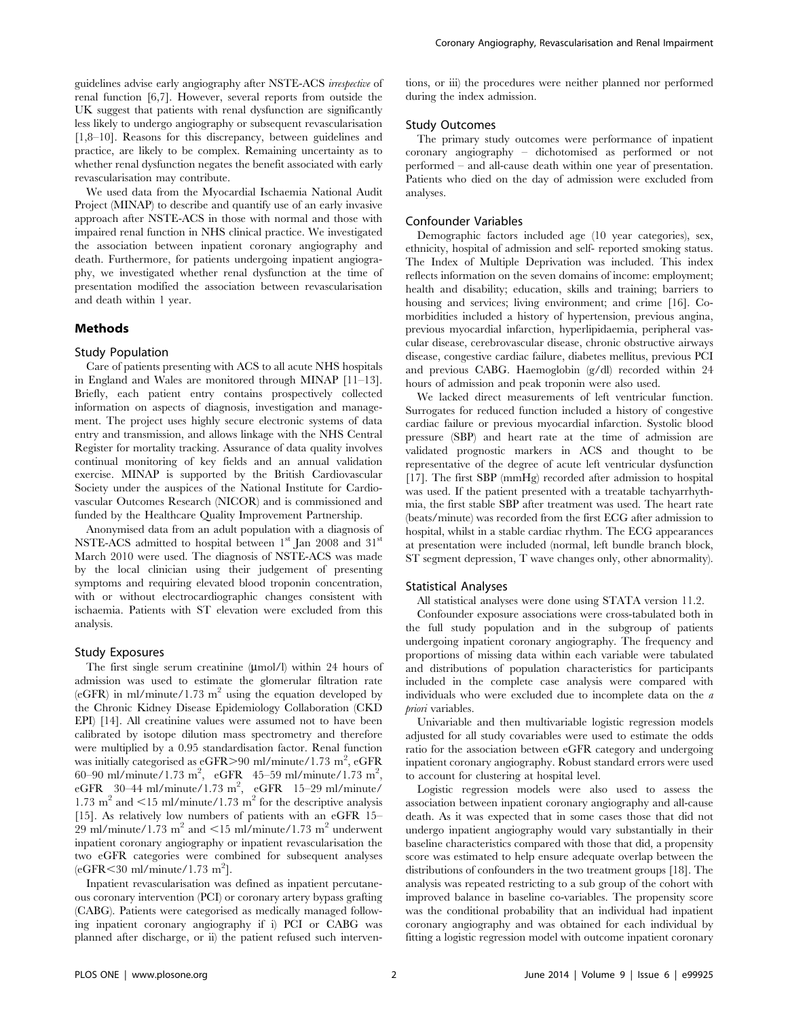guidelines advise early angiography after NSTE-ACS irrespective of renal function [6,7]. However, several reports from outside the UK suggest that patients with renal dysfunction are significantly less likely to undergo angiography or subsequent revascularisation [1,8–10]. Reasons for this discrepancy, between guidelines and practice, are likely to be complex. Remaining uncertainty as to whether renal dysfunction negates the benefit associated with early revascularisation may contribute.

We used data from the Myocardial Ischaemia National Audit Project (MINAP) to describe and quantify use of an early invasive approach after NSTE-ACS in those with normal and those with impaired renal function in NHS clinical practice. We investigated the association between inpatient coronary angiography and death. Furthermore, for patients undergoing inpatient angiography, we investigated whether renal dysfunction at the time of presentation modified the association between revascularisation and death within 1 year.

#### Methods

#### Study Population

Care of patients presenting with ACS to all acute NHS hospitals in England and Wales are monitored through MINAP [11–13]. Briefly, each patient entry contains prospectively collected information on aspects of diagnosis, investigation and management. The project uses highly secure electronic systems of data entry and transmission, and allows linkage with the NHS Central Register for mortality tracking. Assurance of data quality involves continual monitoring of key fields and an annual validation exercise. MINAP is supported by the British Cardiovascular Society under the auspices of the National Institute for Cardiovascular Outcomes Research (NICOR) and is commissioned and funded by the Healthcare Quality Improvement Partnership.

Anonymised data from an adult population with a diagnosis of NSTE-ACS admitted to hospital between  $1<sup>st</sup>$  Jan 2008 and 31<sup>st</sup> March 2010 were used. The diagnosis of NSTE-ACS was made by the local clinician using their judgement of presenting symptoms and requiring elevated blood troponin concentration, with or without electrocardiographic changes consistent with ischaemia. Patients with ST elevation were excluded from this analysis.

#### Study Exposures

The first single serum creatinine ( $\mu$ mol/l) within 24 hours of admission was used to estimate the glomerular filtration rate (eGFR) in ml/minute/1.73 m<sup>2</sup> using the equation developed by the Chronic Kidney Disease Epidemiology Collaboration (CKD EPI) [14]. All creatinine values were assumed not to have been calibrated by isotope dilution mass spectrometry and therefore were multiplied by a 0.95 standardisation factor. Renal function was initially categorised as  $eGFR$  >90 ml/minute/1.73 m<sup>2</sup>,  $eGFR$ 60–90 ml/minute/1.73 m<sup>2</sup>, eGFR 45–59 ml/minute/1.73 m<sup>2</sup>, eGFR  $30-44$  ml/minute/1.73 m<sup>2</sup>, eGFR 15-29 ml/minute/ 1.73 m<sup>2</sup> and  $\leq$ 15 ml/minute/1.73 m<sup>2</sup> for the descriptive analysis [15]. As relatively low numbers of patients with an eGFR 15– 29 ml/minute/1.73 m<sup>2</sup> and <15 ml/minute/1.73 m<sup>2</sup> underwent inpatient coronary angiography or inpatient revascularisation the two eGFR categories were combined for subsequent analyses  $(eGFR<30 \text{ ml/minute}/1.73 \text{ m}^2]$ .

Inpatient revascularisation was defined as inpatient percutaneous coronary intervention (PCI) or coronary artery bypass grafting (CABG). Patients were categorised as medically managed following inpatient coronary angiography if i) PCI or CABG was planned after discharge, or ii) the patient refused such interventions, or iii) the procedures were neither planned nor performed during the index admission.

#### Study Outcomes

The primary study outcomes were performance of inpatient coronary angiography – dichotomised as performed or not performed – and all-cause death within one year of presentation. Patients who died on the day of admission were excluded from analyses.

#### Confounder Variables

Demographic factors included age (10 year categories), sex, ethnicity, hospital of admission and self- reported smoking status. The Index of Multiple Deprivation was included. This index reflects information on the seven domains of income: employment; health and disability; education, skills and training; barriers to housing and services; living environment; and crime [16]. Comorbidities included a history of hypertension, previous angina, previous myocardial infarction, hyperlipidaemia, peripheral vascular disease, cerebrovascular disease, chronic obstructive airways disease, congestive cardiac failure, diabetes mellitus, previous PCI and previous CABG. Haemoglobin (g/dl) recorded within 24 hours of admission and peak troponin were also used.

We lacked direct measurements of left ventricular function. Surrogates for reduced function included a history of congestive cardiac failure or previous myocardial infarction. Systolic blood pressure (SBP) and heart rate at the time of admission are validated prognostic markers in ACS and thought to be representative of the degree of acute left ventricular dysfunction [17]. The first SBP (mmHg) recorded after admission to hospital was used. If the patient presented with a treatable tachyarrhythmia, the first stable SBP after treatment was used. The heart rate (beats/minute) was recorded from the first ECG after admission to hospital, whilst in a stable cardiac rhythm. The ECG appearances at presentation were included (normal, left bundle branch block, ST segment depression, T wave changes only, other abnormality).

#### Statistical Analyses

All statistical analyses were done using STATA version 11.2.

Confounder exposure associations were cross-tabulated both in the full study population and in the subgroup of patients undergoing inpatient coronary angiography. The frequency and proportions of missing data within each variable were tabulated and distributions of population characteristics for participants included in the complete case analysis were compared with individuals who were excluded due to incomplete data on the a priori variables.

Univariable and then multivariable logistic regression models adjusted for all study covariables were used to estimate the odds ratio for the association between eGFR category and undergoing inpatient coronary angiography. Robust standard errors were used to account for clustering at hospital level.

Logistic regression models were also used to assess the association between inpatient coronary angiography and all-cause death. As it was expected that in some cases those that did not undergo inpatient angiography would vary substantially in their baseline characteristics compared with those that did, a propensity score was estimated to help ensure adequate overlap between the distributions of confounders in the two treatment groups [18]. The analysis was repeated restricting to a sub group of the cohort with improved balance in baseline co-variables. The propensity score was the conditional probability that an individual had inpatient coronary angiography and was obtained for each individual by fitting a logistic regression model with outcome inpatient coronary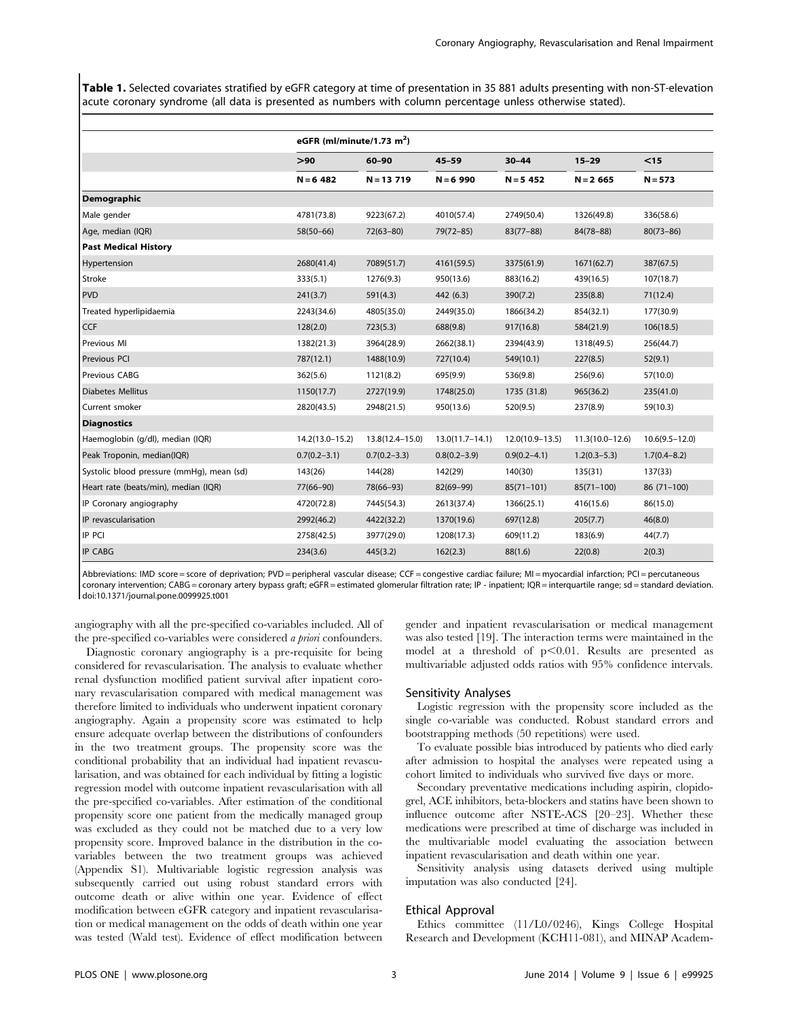Table 1. Selected covariates stratified by eGFR category at time of presentation in 35 881 adults presenting with non-ST-elevation acute coronary syndrome (all data is presented as numbers with column percentage unless otherwise stated).

|                                           | eGFR (ml/minute/1.73 $m2$ ) |                  |                     |                     |                     |                    |
|-------------------------------------------|-----------------------------|------------------|---------------------|---------------------|---------------------|--------------------|
|                                           | $>90$                       | $60 - 90$        | $45 - 59$           | $30 - 44$           | $15 - 29$           | $<15$              |
|                                           | $N = 6$ 482                 | $N = 13719$      | $N = 6990$          | $N = 5452$          | $N = 2,665$         | $N = 573$          |
| Demographic                               |                             |                  |                     |                     |                     |                    |
| Male gender                               | 4781(73.8)                  | 9223(67.2)       | 4010(57.4)          | 2749(50.4)          | 1326(49.8)          | 336(58.6)          |
| Age, median (IQR)                         | $58(50-66)$                 | $72(63 - 80)$    | $79(72 - 85)$       | $83(77-88)$         | 84(78-88)           | $80(73 - 86)$      |
| <b>Past Medical History</b>               |                             |                  |                     |                     |                     |                    |
| Hypertension                              | 2680(41.4)                  | 7089(51.7)       | 4161(59.5)          | 3375(61.9)          | 1671(62.7)          | 387(67.5)          |
| Stroke                                    | 333(5.1)                    | 1276(9.3)        | 950(13.6)           | 883(16.2)           | 439(16.5)           | 107(18.7)          |
| <b>PVD</b>                                | 241(3.7)                    | 591(4.3)         | 442 (6.3)           | 390(7.2)            | 235(8.8)            | 71(12.4)           |
| Treated hyperlipidaemia                   | 2243(34.6)                  | 4805(35.0)       | 2449(35.0)          | 1866(34.2)          | 854(32.1)           | 177(30.9)          |
| <b>CCF</b>                                | 128(2.0)                    | 723(5.3)         | 688(9.8)            | 917(16.8)           | 584(21.9)           | 106(18.5)          |
| Previous MI                               | 1382(21.3)                  | 3964(28.9)       | 2662(38.1)          | 2394(43.9)          | 1318(49.5)          | 256(44.7)          |
| <b>Previous PCI</b>                       | 787(12.1)                   | 1488(10.9)       | 727(10.4)           | 549(10.1)           | 227(8.5)            | 52(9.1)            |
| <b>Previous CABG</b>                      | 362(5.6)                    | 1121(8.2)        | 695(9.9)            | 536(9.8)            | 256(9.6)            | 57(10.0)           |
| <b>Diabetes Mellitus</b>                  | 1150(17.7)                  | 2727(19.9)       | 1748(25.0)          | 1735 (31.8)         | 965(36.2)           | 235(41.0)          |
| Current smoker                            | 2820(43.5)                  | 2948(21.5)       | 950(13.6)           | 520(9.5)            | 237(8.9)            | 59(10.3)           |
| <b>Diagnostics</b>                        |                             |                  |                     |                     |                     |                    |
| Haemoglobin (g/dl), median (IQR)          | $14.2(13.0 - 15.2)$         | 13.8(12.4-15.0)  | $13.0(11.7 - 14.1)$ | $12.0(10.9 - 13.5)$ | $11.3(10.0 - 12.6)$ | $10.6(9.5 - 12.0)$ |
| Peak Troponin, median(IQR)                | $0.7(0.2 - 3.1)$            | $0.7(0.2 - 3.3)$ | $0.8(0.2 - 3.9)$    | $0.9(0.2 - 4.1)$    | $1.2(0.3 - 5.3)$    | $1.7(0.4 - 8.2)$   |
| Systolic blood pressure (mmHg), mean (sd) | 143(26)                     | 144(28)          | 142(29)             | 140(30)             | 135(31)             | 137(33)            |
| Heart rate (beats/min), median (IQR)      | 77(66-90)                   | 78(66-93)        | $82(69 - 99)$       | $85(71 - 101)$      | $85(71-100)$        | $86(71-100)$       |
| IP Coronary angiography                   | 4720(72.8)                  | 7445(54.3)       | 2613(37.4)          | 1366(25.1)          | 416(15.6)           | 86(15.0)           |
| IP revascularisation                      | 2992(46.2)                  | 4422(32.2)       | 1370(19.6)          | 697(12.8)           | 205(7.7)            | 46(8.0)            |
| IP PCI                                    | 2758(42.5)                  | 3977(29.0)       | 1208(17.3)          | 609(11.2)           | 183(6.9)            | 44(7.7)            |
| <b>IP CABG</b>                            | 234(3.6)                    | 445(3.2)         | 162(2.3)            | 88(1.6)             | 22(0.8)             | 2(0.3)             |

Abbreviations: IMD score = score of deprivation; PVD = peripheral vascular disease; CCF = congestive cardiac failure; MI = myocardial infarction; PCI = percutaneous coronary intervention; CABG = coronary artery bypass graft; eGFR = estimated glomerular filtration rate; IP - inpatient; IQR = interquartile range; sd = standard deviation. doi:10.1371/journal.pone.0099925.t001

angiography with all the pre-specified co-variables included. All of the pre-specified co-variables were considered a priori confounders.

Diagnostic coronary angiography is a pre-requisite for being considered for revascularisation. The analysis to evaluate whether renal dysfunction modified patient survival after inpatient coronary revascularisation compared with medical management was therefore limited to individuals who underwent inpatient coronary angiography. Again a propensity score was estimated to help ensure adequate overlap between the distributions of confounders in the two treatment groups. The propensity score was the conditional probability that an individual had inpatient revascularisation, and was obtained for each individual by fitting a logistic regression model with outcome inpatient revascularisation with all the pre-specified co-variables. After estimation of the conditional propensity score one patient from the medically managed group was excluded as they could not be matched due to a very low propensity score. Improved balance in the distribution in the covariables between the two treatment groups was achieved (Appendix S1). Multivariable logistic regression analysis was subsequently carried out using robust standard errors with outcome death or alive within one year. Evidence of effect modification between eGFR category and inpatient revascularisation or medical management on the odds of death within one year was tested (Wald test). Evidence of effect modification between gender and inpatient revascularisation or medical management was also tested [19]. The interaction terms were maintained in the model at a threshold of  $p<0.01$ . Results are presented as multivariable adjusted odds ratios with 95% confidence intervals.

#### Sensitivity Analyses

Logistic regression with the propensity score included as the single co-variable was conducted. Robust standard errors and bootstrapping methods (50 repetitions) were used.

To evaluate possible bias introduced by patients who died early after admission to hospital the analyses were repeated using a cohort limited to individuals who survived five days or more.

Secondary preventative medications including aspirin, clopidogrel, ACE inhibitors, beta-blockers and statins have been shown to influence outcome after NSTE-ACS [20–23]. Whether these medications were prescribed at time of discharge was included in the multivariable model evaluating the association between inpatient revascularisation and death within one year.

Sensitivity analysis using datasets derived using multiple imputation was also conducted [24].

#### Ethical Approval

Ethics committee (11/L0/0246), Kings College Hospital Research and Development (KCH11-081), and MINAP Academ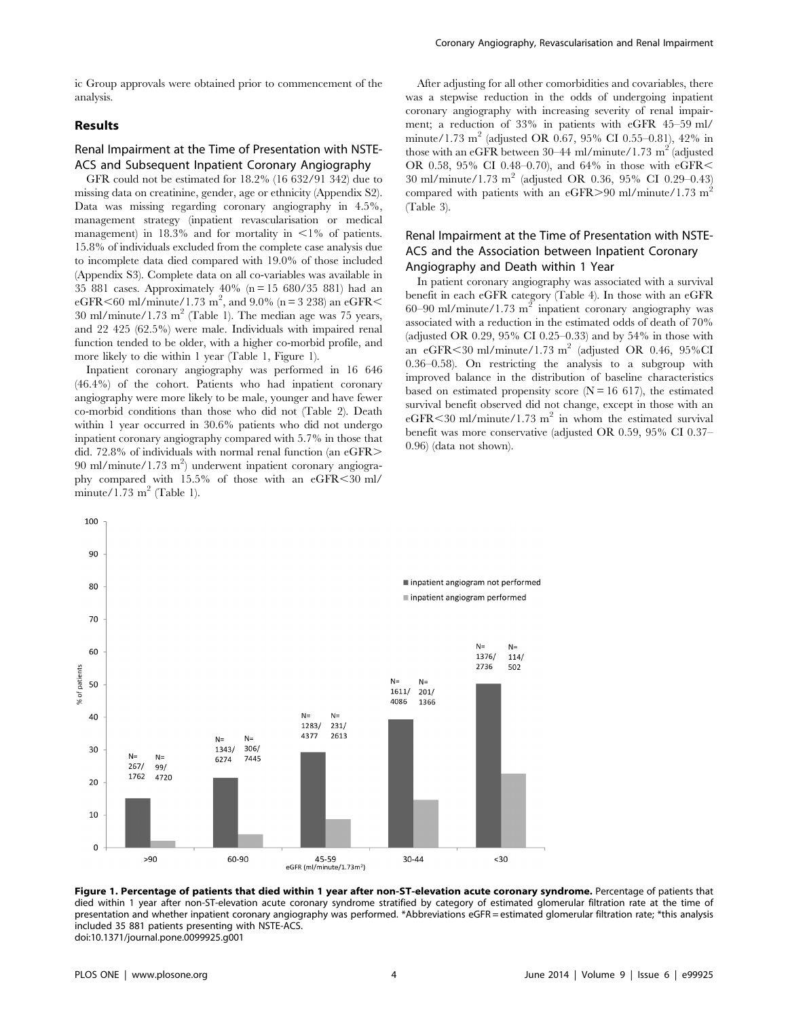ic Group approvals were obtained prior to commencement of the analysis.

#### Results

#### Renal Impairment at the Time of Presentation with NSTE-ACS and Subsequent Inpatient Coronary Angiography

GFR could not be estimated for 18.2% (16 632/91 342) due to missing data on creatinine, gender, age or ethnicity (Appendix S2). Data was missing regarding coronary angiography in 4.5%, management strategy (inpatient revascularisation or medical management) in 18.3% and for mortality in  $\langle 1\%$  of patients. 15.8% of individuals excluded from the complete case analysis due to incomplete data died compared with 19.0% of those included (Appendix S3). Complete data on all co-variables was available in 35 881 cases. Approximately 40% (n = 15 680/35 881) had an eGFR $<$ 60 ml/minute/1.73 m<sup>2</sup>, and 9.0% (n = 3 238) an eGFR $<$ 30 ml/minute/1.73 m<sup>2</sup> (Table 1). The median age was 75 years, and 22 425 (62.5%) were male. Individuals with impaired renal function tended to be older, with a higher co-morbid profile, and more likely to die within 1 year (Table 1, Figure 1).

Inpatient coronary angiography was performed in 16 646 (46.4%) of the cohort. Patients who had inpatient coronary angiography were more likely to be male, younger and have fewer co-morbid conditions than those who did not (Table 2). Death within 1 year occurred in 30.6% patients who did not undergo inpatient coronary angiography compared with 5.7% in those that did. 72.8% of individuals with normal renal function (an eGFR $>$ 90 ml/minute/1.73 m<sup>2</sup>) underwent inpatient coronary angiography compared with  $15.5\%$  of those with an eGFR $\leq$ 30 ml/ minute/1.73 m<sup>2</sup> (Table 1).

After adjusting for all other comorbidities and covariables, there was a stepwise reduction in the odds of undergoing inpatient coronary angiography with increasing severity of renal impairment; a reduction of 33% in patients with eGFR 45–59 ml/ minute/1.73 m<sup>2</sup> (adjusted OR 0.67, 95% CI 0.55–0.81), 42% in those with an eGFR between  $30-44$  ml/minute/1.73 m<sup>2</sup> (adjusted OR 0.58, 95% CI 0.48–0.70), and 64% in those with eGFR $<$ 30 ml/minute/1.73 m<sup>2</sup> (adjusted OR 0.36, 95% CI 0.29–0.43) compared with patients with an eGFR $>90$  ml/minute/1.73 m<sup>2</sup> (Table 3).

## Renal Impairment at the Time of Presentation with NSTE-ACS and the Association between Inpatient Coronary Angiography and Death within 1 Year

In patient coronary angiography was associated with a survival benefit in each eGFR category (Table 4). In those with an eGFR 60–90 ml/minute/1.73 m<sup>2</sup> inpatient coronary angiography was associated with a reduction in the estimated odds of death of 70% (adjusted OR 0.29, 95% CI 0.25–0.33) and by 54% in those with an eGFR $<$ 30 ml/minute/1.73 m<sup>2</sup> (adjusted OR 0.46, 95%CI 0.36–0.58). On restricting the analysis to a subgroup with improved balance in the distribution of baseline characteristics based on estimated propensity score  $(N = 16 617)$ , the estimated survival benefit observed did not change, except in those with an eGFR $\leq$ 30 ml/minute/1.73 m<sup>2</sup> in whom the estimated survival benefit was more conservative (adjusted OR 0.59, 95% CI 0.37– 0.96) (data not shown).



Figure 1. Percentage of patients that died within 1 year after non-ST-elevation acute coronary syndrome. Percentage of patients that died within 1 year after non-ST-elevation acute coronary syndrome stratified by category of estimated glomerular filtration rate at the time of presentation and whether inpatient coronary angiography was performed. \*Abbreviations eGFR = estimated glomerular filtration rate; \*this analysis included 35 881 patients presenting with NSTE-ACS. doi:10.1371/journal.pone.0099925.g001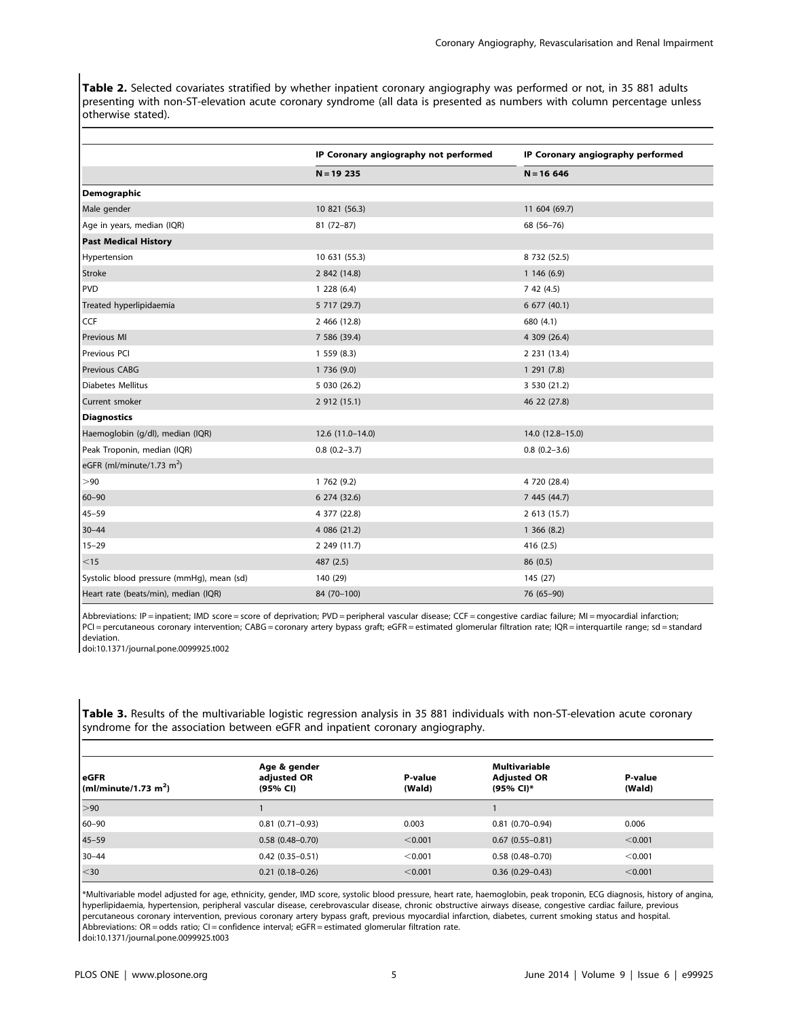Table 2. Selected covariates stratified by whether inpatient coronary angiography was performed or not, in 35 881 adults presenting with non-ST-elevation acute coronary syndrome (all data is presented as numbers with column percentage unless otherwise stated).

| IP Coronary angiography not performed | IP Coronary angiography performed |
|---------------------------------------|-----------------------------------|
| $N = 19235$                           | $N = 16646$                       |
|                                       |                                   |
| 10 821 (56.3)                         | 11 604 (69.7)                     |
| $81(72-87)$                           | 68 (56-76)                        |
|                                       |                                   |
| 10 631 (55.3)                         | 8 732 (52.5)                      |
| 2 842 (14.8)                          | 1 146 (6.9)                       |
| 1228(6.4)                             | 7 42 (4.5)                        |
| 5 717 (29.7)                          | 6 677 (40.1)                      |
| 2 466 (12.8)                          | 680 (4.1)                         |
| 7 586 (39.4)                          | 4 309 (26.4)                      |
| 1559(8.3)                             | 2 231 (13.4)                      |
| 1 736 (9.0)                           | 1291(7.8)                         |
| 5 030 (26.2)                          | 3 530 (21.2)                      |
| 2 912 (15.1)                          | 46 22 (27.8)                      |
|                                       |                                   |
| 12.6 (11.0-14.0)                      | 14.0 (12.8-15.0)                  |
| $0.8(0.2 - 3.7)$                      | $0.8$ $(0.2 - 3.6)$               |
|                                       |                                   |
| 1 762 (9.2)                           | 4 720 (28.4)                      |
| 6 274 (32.6)                          | 7 445 (44.7)                      |
| 4 377 (22.8)                          | 2 613 (15.7)                      |
| 4 086 (21.2)                          | 1 366 (8.2)                       |
| 2 249 (11.7)                          | 416 (2.5)                         |
| 487 (2.5)                             | 86 (0.5)                          |
| 140 (29)                              | 145 (27)                          |
| 84 (70-100)                           | 76 (65-90)                        |
|                                       |                                   |

Abbreviations: IP = inpatient; IMD score = score of deprivation; PVD = peripheral vascular disease; CCF = congestive cardiac failure; MI = myocardial infarction; PCI = percutaneous coronary intervention; CABG = coronary artery bypass graft; eGFR = estimated glomerular filtration rate; IQR = interquartile range; sd = standard deviation.

doi:10.1371/journal.pone.0099925.t002

Table 3. Results of the multivariable logistic regression analysis in 35 881 individuals with non-ST-elevation acute coronary syndrome for the association between eGFR and inpatient coronary angiography.

| l eGFR<br>$\frac{1}{2}$ (ml/minute/1.73 m <sup>2</sup> ) | Age & gender<br>adjusted OR<br>(95% CI) | P-value<br>(Wald) | <b>Multivariable</b><br><b>Adjusted OR</b><br>(95% CI)* | P-value<br>(Wald) |
|----------------------------------------------------------|-----------------------------------------|-------------------|---------------------------------------------------------|-------------------|
| $\geq 90$                                                |                                         |                   |                                                         |                   |
| $60 - 90$                                                | $0.81(0.71-0.93)$                       | 0.003             | $0.81(0.70 - 0.94)$                                     | 0.006             |
| $45 - 59$                                                | $0.58(0.48 - 0.70)$                     | < 0.001           | $0.67(0.55 - 0.81)$                                     | < 0.001           |
| $30 - 44$                                                | $0.42(0.35 - 0.51)$                     | < 0.001           | $0.58(0.48 - 0.70)$                                     | < 0.001           |
| $30$                                                     | $0.21(0.18-0.26)$                       | < 0.001           | $0.36(0.29 - 0.43)$                                     | < 0.001           |

\*Multivariable model adjusted for age, ethnicity, gender, IMD score, systolic blood pressure, heart rate, haemoglobin, peak troponin, ECG diagnosis, history of angina, hyperlipidaemia, hypertension, peripheral vascular disease, cerebrovascular disease, chronic obstructive airways disease, congestive cardiac failure, previous percutaneous coronary intervention, previous coronary artery bypass graft, previous myocardial infarction, diabetes, current smoking status and hospital. Abbreviations: OR = odds ratio; CI = confidence interval; eGFR = estimated glomerular filtration rate.

doi:10.1371/journal.pone.0099925.t003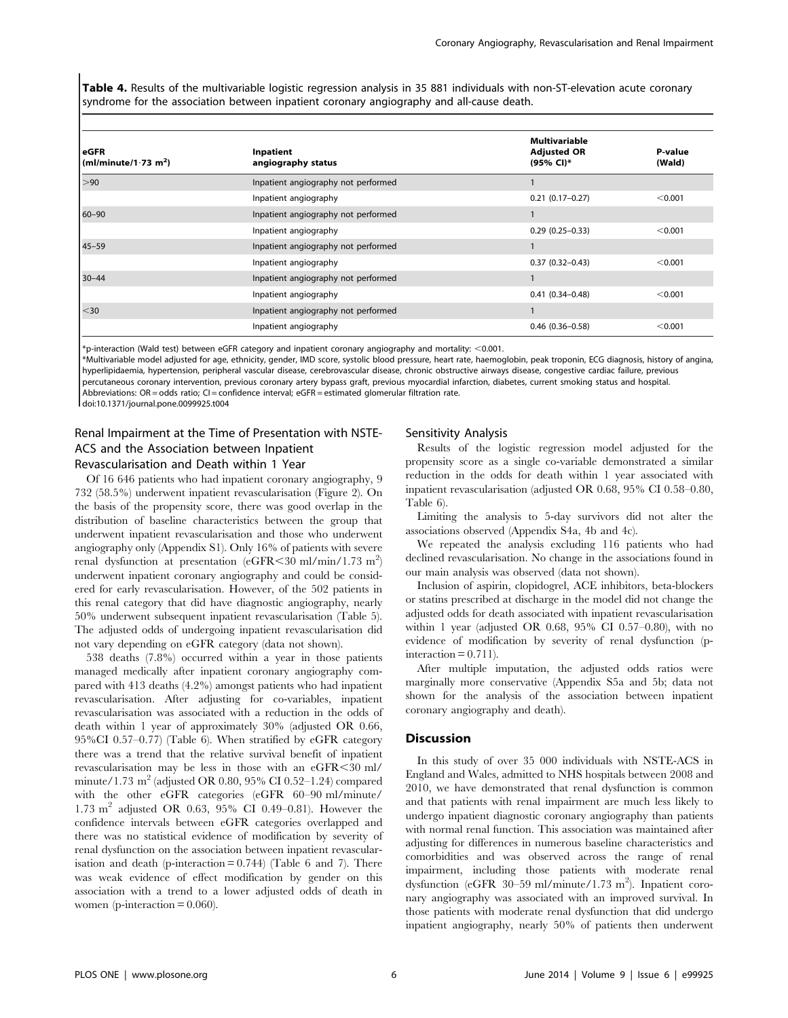Table 4. Results of the multivariable logistic regression analysis in 35 881 individuals with non-ST-elevation acute coronary syndrome for the association between inpatient coronary angiography and all-cause death.

|                                                        |                                     | <b>Multivariable</b>            |                   |
|--------------------------------------------------------|-------------------------------------|---------------------------------|-------------------|
| eGFR<br>$\frac{1}{2}$ (ml/minute/1.73 m <sup>2</sup> ) | Inpatient<br>angiography status     | <b>Adjusted OR</b><br>(95% CI)* | P-value<br>(Wald) |
| >90                                                    | Inpatient angiography not performed |                                 |                   |
|                                                        | Inpatient angiography               | $0.21(0.17 - 0.27)$             | < 0.001           |
| 60-90                                                  | Inpatient angiography not performed |                                 |                   |
|                                                        | Inpatient angiography               | $0.29(0.25 - 0.33)$             | < 0.001           |
| $45 - 59$                                              | Inpatient angiography not performed |                                 |                   |
|                                                        | Inpatient angiography               | $0.37(0.32 - 0.43)$             | < 0.001           |
| $30 - 44$                                              | Inpatient angiography not performed |                                 |                   |
|                                                        | Inpatient angiography               | $0.41(0.34 - 0.48)$             | < 0.001           |
| $30$                                                   | Inpatient angiography not performed |                                 |                   |
|                                                        | Inpatient angiography               | $0.46$ $(0.36 - 0.58)$          | < 0.001           |

\*p-interaction (Wald test) between eGFR category and inpatient coronary angiography and mortality: <0.001.

\*Multivariable model adjusted for age, ethnicity, gender, IMD score, systolic blood pressure, heart rate, haemoglobin, peak troponin, ECG diagnosis, history of angina, hyperlipidaemia, hypertension, peripheral vascular disease, cerebrovascular disease, chronic obstructive airways disease, congestive cardiac failure, previous percutaneous coronary intervention, previous coronary artery bypass graft, previous myocardial infarction, diabetes, current smoking status and hospital. Abbreviations: OR = odds ratio; CI = confidence interval; eGFR = estimated glomerular filtration rate.

doi:10.1371/journal.pone.0099925.t004

# Renal Impairment at the Time of Presentation with NSTE-ACS and the Association between Inpatient

#### Revascularisation and Death within 1 Year

Of 16 646 patients who had inpatient coronary angiography, 9 732 (58.5%) underwent inpatient revascularisation (Figure 2). On the basis of the propensity score, there was good overlap in the distribution of baseline characteristics between the group that underwent inpatient revascularisation and those who underwent angiography only (Appendix S1). Only 16% of patients with severe renal dysfunction at presentation (eGFR<30 ml/min/1.73 m<sup>2</sup>) underwent inpatient coronary angiography and could be considered for early revascularisation. However, of the 502 patients in this renal category that did have diagnostic angiography, nearly 50% underwent subsequent inpatient revascularisation (Table 5). The adjusted odds of undergoing inpatient revascularisation did not vary depending on eGFR category (data not shown).

538 deaths (7.8%) occurred within a year in those patients managed medically after inpatient coronary angiography compared with 413 deaths (4.2%) amongst patients who had inpatient revascularisation. After adjusting for co-variables, inpatient revascularisation was associated with a reduction in the odds of death within 1 year of approximately 30% (adjusted OR 0.66, 95%CI 0.57–0.77) (Table 6). When stratified by eGFR category there was a trend that the relative survival benefit of inpatient revascularisation may be less in those with an  $e$ GFR $\leq$ 30 ml/ minute/1.73 m<sup>2</sup> (adjusted OR 0.80, 95% CI 0.52–1.24) compared with the other eGFR categories (eGFR 60–90 ml/minute/ 1.73  $m^2$  adjusted OR 0.63, 95% CI 0.49–0.81). However the confidence intervals between eGFR categories overlapped and there was no statistical evidence of modification by severity of renal dysfunction on the association between inpatient revascularisation and death (p-interaction  $= 0.744$ ) (Table 6 and 7). There was weak evidence of effect modification by gender on this association with a trend to a lower adjusted odds of death in women (p-interaction  $= 0.060$ ).

#### Sensitivity Analysis

Results of the logistic regression model adjusted for the propensity score as a single co-variable demonstrated a similar reduction in the odds for death within 1 year associated with inpatient revascularisation (adjusted OR 0.68, 95% CI 0.58–0.80, Table 6).

Limiting the analysis to 5-day survivors did not alter the associations observed (Appendix S4a, 4b and 4c).

We repeated the analysis excluding 116 patients who had declined revascularisation. No change in the associations found in our main analysis was observed (data not shown).

Inclusion of aspirin, clopidogrel, ACE inhibitors, beta-blockers or statins prescribed at discharge in the model did not change the adjusted odds for death associated with inpatient revascularisation within 1 year (adjusted OR 0.68, 95% CI 0.57–0.80), with no evidence of modification by severity of renal dysfunction (pinteraction  $= 0.711$ .

After multiple imputation, the adjusted odds ratios were marginally more conservative (Appendix S5a and 5b; data not shown for the analysis of the association between inpatient coronary angiography and death).

#### **Discussion**

In this study of over 35 000 individuals with NSTE-ACS in England and Wales, admitted to NHS hospitals between 2008 and 2010, we have demonstrated that renal dysfunction is common and that patients with renal impairment are much less likely to undergo inpatient diagnostic coronary angiography than patients with normal renal function. This association was maintained after adjusting for differences in numerous baseline characteristics and comorbidities and was observed across the range of renal impairment, including those patients with moderate renal dysfunction (eGFR 30-59 ml/minute/1.73 m<sup>2</sup>). Inpatient coronary angiography was associated with an improved survival. In those patients with moderate renal dysfunction that did undergo inpatient angiography, nearly 50% of patients then underwent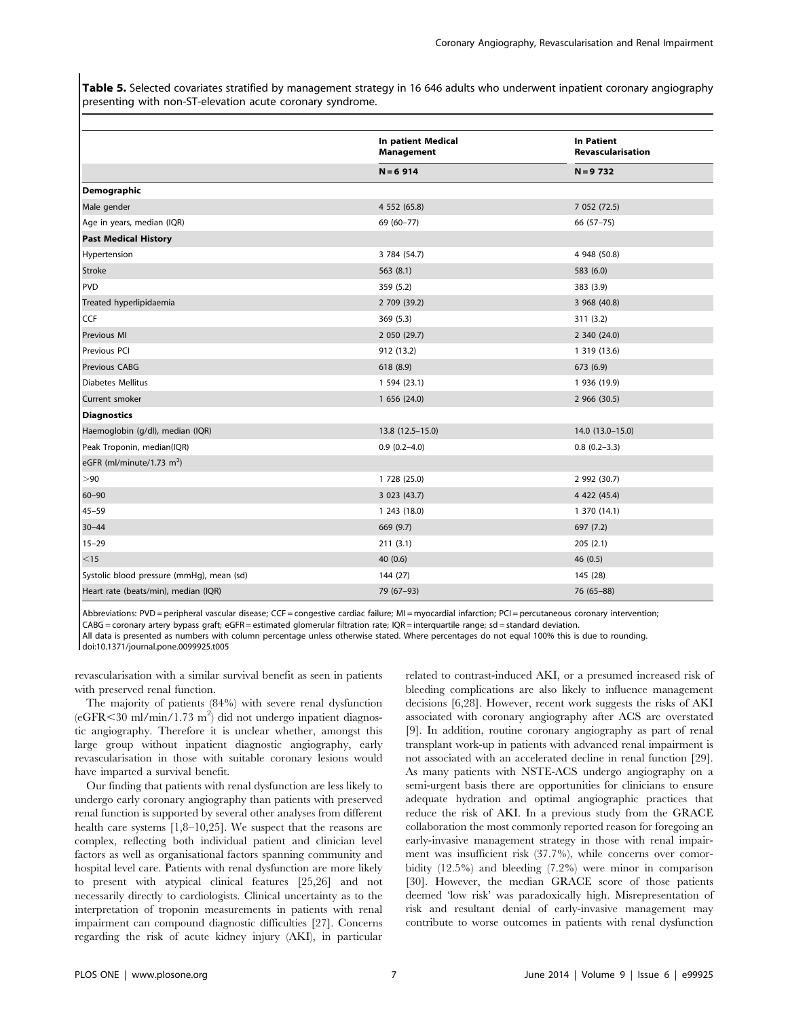Table 5. Selected covariates stratified by management strategy in 16 646 adults who underwent inpatient coronary angiography presenting with non-ST-elevation acute coronary syndrome.

|                                           | In patient Medical<br><b>Management</b> | In Patient<br>Revascularisation |
|-------------------------------------------|-----------------------------------------|---------------------------------|
|                                           | $N = 6914$                              | $N = 9732$                      |
| Demographic                               |                                         |                                 |
| Male gender                               | 4 552 (65.8)                            | 7 052 (72.5)                    |
| Age in years, median (IQR)                | 69 (60-77)                              | 66 (57-75)                      |
| <b>Past Medical History</b>               |                                         |                                 |
| Hypertension                              | 3 784 (54.7)                            | 4 948 (50.8)                    |
| <b>Stroke</b>                             | 563(8.1)                                | 583 (6.0)                       |
| <b>PVD</b>                                | 359 (5.2)                               | 383 (3.9)                       |
| Treated hyperlipidaemia                   | 2 709 (39.2)                            | 3 968 (40.8)                    |
| CCF                                       | 369(5.3)                                | 311(3.2)                        |
| Previous MI                               | 2 050 (29.7)                            | 2 340 (24.0)                    |
| Previous PCI                              | 912 (13.2)                              | 1 319 (13.6)                    |
| <b>Previous CABG</b>                      | 618 (8.9)                               | 673 (6.9)                       |
| Diabetes Mellitus                         | 1594(23.1)                              | 1 936 (19.9)                    |
| Current smoker                            | 1656(24.0)                              | 2 966 (30.5)                    |
| <b>Diagnostics</b>                        |                                         |                                 |
| Haemoglobin (g/dl), median (IQR)          | 13.8 (12.5-15.0)                        | 14.0 (13.0-15.0)                |
| Peak Troponin, median(IQR)                | $0.9(0.2 - 4.0)$                        | $0.8(0.2-3.3)$                  |
| eGFR (ml/minute/1.73 $m2$ )               |                                         |                                 |
| >90                                       | 1 728 (25.0)                            | 2 992 (30.7)                    |
| $60 - 90$                                 | 3 023 (43.7)                            | 4 4 22 (45.4)                   |
| $45 - 59$                                 | 1 243 (18.0)                            | 1 370 (14.1)                    |
| $30 - 44$                                 | 669 (9.7)                               | 697 (7.2)                       |
| $15 - 29$                                 | 211(3.1)                                | 205(2.1)                        |
| $<$ 15                                    | 40(0.6)                                 | 46 (0.5)                        |
| Systolic blood pressure (mmHg), mean (sd) | 144 (27)                                | 145 (28)                        |
| Heart rate (beats/min), median (IQR)      | 79 (67-93)                              | 76 (65-88)                      |

Abbreviations: PVD = peripheral vascular disease; CCF = congestive cardiac failure; MI = myocardial infarction; PCI = percutaneous coronary intervention; CABG = coronary artery bypass graft; eGFR = estimated glomerular filtration rate; IQR = interquartile range; sd = standard deviation. All data is presented as numbers with column percentage unless otherwise stated. Where percentages do not equal 100% this is due to rounding.

doi:10.1371/journal.pone.0099925.t005

revascularisation with a similar survival benefit as seen in patients with preserved renal function.

The majority of patients (84%) with severe renal dysfunction  $(eGFR < 30$  ml/min/1.73 m<sup>2</sup>) did not undergo inpatient diagnostic angiography. Therefore it is unclear whether, amongst this large group without inpatient diagnostic angiography, early revascularisation in those with suitable coronary lesions would have imparted a survival benefit.

Our finding that patients with renal dysfunction are less likely to undergo early coronary angiography than patients with preserved renal function is supported by several other analyses from different health care systems [1,8–10,25]. We suspect that the reasons are complex, reflecting both individual patient and clinician level factors as well as organisational factors spanning community and hospital level care. Patients with renal dysfunction are more likely to present with atypical clinical features [25,26] and not necessarily directly to cardiologists. Clinical uncertainty as to the interpretation of troponin measurements in patients with renal impairment can compound diagnostic difficulties [27]. Concerns regarding the risk of acute kidney injury (AKI), in particular related to contrast-induced AKI, or a presumed increased risk of bleeding complications are also likely to influence management decisions [6,28]. However, recent work suggests the risks of AKI associated with coronary angiography after ACS are overstated [9]. In addition, routine coronary angiography as part of renal transplant work-up in patients with advanced renal impairment is not associated with an accelerated decline in renal function [29]. As many patients with NSTE-ACS undergo angiography on a semi-urgent basis there are opportunities for clinicians to ensure adequate hydration and optimal angiographic practices that reduce the risk of AKI. In a previous study from the GRACE collaboration the most commonly reported reason for foregoing an early-invasive management strategy in those with renal impairment was insufficient risk (37.7%), while concerns over comorbidity (12.5%) and bleeding (7.2%) were minor in comparison [30]. However, the median GRACE score of those patients deemed 'low risk' was paradoxically high. Misrepresentation of risk and resultant denial of early-invasive management may contribute to worse outcomes in patients with renal dysfunction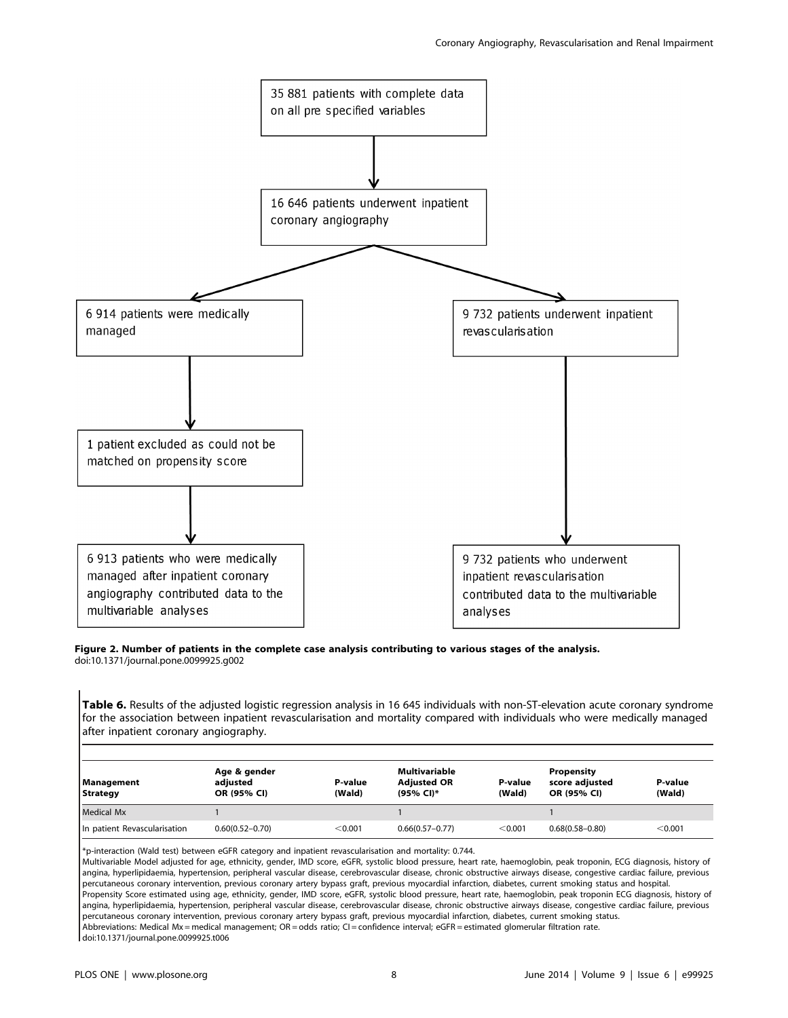

Figure 2. Number of patients in the complete case analysis contributing to various stages of the analysis. doi:10.1371/journal.pone.0099925.g002

Table 6. Results of the adjusted logistic regression analysis in 16 645 individuals with non-ST-elevation acute coronary syndrome for the association between inpatient revascularisation and mortality compared with individuals who were medically managed after inpatient coronary angiography.

| Management<br>Strategy       | Age & gender<br>adjusted<br>OR (95% CI) | P-value<br>(Wald) | Multivariable<br><b>Adjusted OR</b><br>(95% CI)* | P-value<br>(Wald) | Propensity<br>score adjusted<br>OR (95% CI) | P-value<br>(Wald) |
|------------------------------|-----------------------------------------|-------------------|--------------------------------------------------|-------------------|---------------------------------------------|-------------------|
| <b>Medical Mx</b>            |                                         |                   |                                                  |                   |                                             |                   |
| In patient Revascularisation | $0.60(0.52 - 0.70)$                     | < 0.001           | $0.66(0.57 - 0.77)$                              | < 0.001           | $0.68(0.58 - 0.80)$                         | < 0.001           |

\*p-interaction (Wald test) between eGFR category and inpatient revascularisation and mortality: 0.744.

Multivariable Model adjusted for age, ethnicity, gender, IMD score, eGFR, systolic blood pressure, heart rate, haemoglobin, peak troponin, ECG diagnosis, history of angina, hyperlipidaemia, hypertension, peripheral vascular disease, cerebrovascular disease, chronic obstructive airways disease, congestive cardiac failure, previous percutaneous coronary intervention, previous coronary artery bypass graft, previous myocardial infarction, diabetes, current smoking status and hospital. Propensity Score estimated using age, ethnicity, gender, IMD score, eGFR, systolic blood pressure, heart rate, haemoglobin, peak troponin ECG diagnosis, history of angina, hyperlipidaemia, hypertension, peripheral vascular disease, cerebrovascular disease, chronic obstructive airways disease, congestive cardiac failure, previous percutaneous coronary intervention, previous coronary artery bypass graft, previous myocardial infarction, diabetes, current smoking status. Abbreviations: Medical Mx = medical management; OR = odds ratio; CI = confidence interval; eGFR = estimated glomerular filtration rate. doi:10.1371/journal.pone.0099925.t006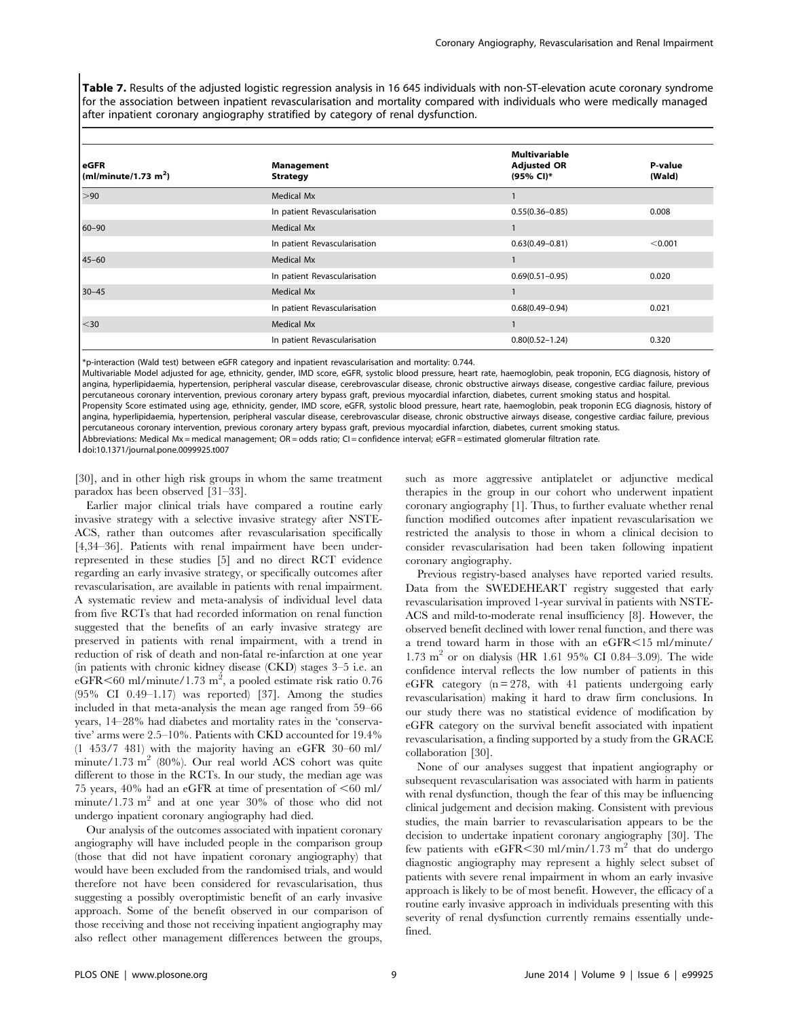Table 7. Results of the adjusted logistic regression analysis in 16 645 individuals with non-ST-elevation acute coronary syndrome for the association between inpatient revascularisation and mortality compared with individuals who were medically managed after inpatient coronary angiography stratified by category of renal dysfunction.

| eGFR<br>$\frac{1}{2}$ (ml/minute/1.73 m <sup>2</sup> ) | <b>Management</b><br><b>Strategy</b> | <b>Multivariable</b><br><b>Adjusted OR</b><br>(95% CI)* | P-value<br>(Wald) |
|--------------------------------------------------------|--------------------------------------|---------------------------------------------------------|-------------------|
| >90                                                    | Medical Mx                           |                                                         |                   |
|                                                        | In patient Revascularisation         | $0.55(0.36 - 0.85)$                                     | 0.008             |
| $60 - 90$                                              | Medical Mx                           |                                                         |                   |
|                                                        | In patient Revascularisation         | $0.63(0.49 - 0.81)$                                     | < 0.001           |
| $45 - 60$                                              | Medical Mx                           |                                                         |                   |
|                                                        | In patient Revascularisation         | $0.69(0.51 - 0.95)$                                     | 0.020             |
| $30 - 45$                                              | Medical Mx                           |                                                         |                   |
|                                                        | In patient Revascularisation         | $0.68(0.49 - 0.94)$                                     | 0.021             |
| $30$                                                   | <b>Medical Mx</b>                    |                                                         |                   |
|                                                        | In patient Revascularisation         | $0.80(0.52 - 1.24)$                                     | 0.320             |

\*p-interaction (Wald test) between eGFR category and inpatient revascularisation and mortality: 0.744.

Multivariable Model adjusted for age, ethnicity, gender, IMD score, eGFR, systolic blood pressure, heart rate, haemoglobin, peak troponin, ECG diagnosis, history of angina, hyperlipidaemia, hypertension, peripheral vascular disease, cerebrovascular disease, chronic obstructive airways disease, congestive cardiac failure, previous percutaneous coronary intervention, previous coronary artery bypass graft, previous myocardial infarction, diabetes, current smoking status and hospital. Propensity Score estimated using age, ethnicity, gender, IMD score, eGFR, systolic blood pressure, heart rate, haemoglobin, peak troponin ECG diagnosis, history of angina, hyperlipidaemia, hypertension, peripheral vascular disease, cerebrovascular disease, chronic obstructive airways disease, congestive cardiac failure, previous

percutaneous coronary intervention, previous coronary artery bypass graft, previous myocardial infarction, diabetes, current smoking status. Abbreviations: Medical Mx = medical management;  $OR = odds$  ratio;  $CI = confidence$  interval;  $eGFR = estimated$  glomerular filtration rate.

doi:10.1371/journal.pone.0099925.t007

[30], and in other high risk groups in whom the same treatment paradox has been observed [31–33].

Earlier major clinical trials have compared a routine early invasive strategy with a selective invasive strategy after NSTE-ACS, rather than outcomes after revascularisation specifically [4,34–36]. Patients with renal impairment have been underrepresented in these studies [5] and no direct RCT evidence regarding an early invasive strategy, or specifically outcomes after revascularisation, are available in patients with renal impairment. A systematic review and meta-analysis of individual level data from five RCTs that had recorded information on renal function suggested that the benefits of an early invasive strategy are preserved in patients with renal impairment, with a trend in reduction of risk of death and non-fatal re-infarction at one year (in patients with chronic kidney disease (CKD) stages 3–5 i.e. an eGFR<60 ml/minute/1.73 m<sup>2</sup>, a pooled estimate risk ratio 0.76 (95% CI 0.49–1.17) was reported) [37]. Among the studies included in that meta-analysis the mean age ranged from 59–66 years, 14–28% had diabetes and mortality rates in the 'conservative' arms were 2.5–10%. Patients with CKD accounted for 19.4% (1 453/7 481) with the majority having an eGFR 30–60 ml/ minute/1.73 m<sup>2</sup> (80%). Our real world ACS cohort was quite different to those in the RCTs. In our study, the median age was 75 years, 40% had an eGFR at time of presentation of  $\leq 60$  ml/ minute/1.73 m<sup>2</sup> and at one year 30% of those who did not undergo inpatient coronary angiography had died.

Our analysis of the outcomes associated with inpatient coronary angiography will have included people in the comparison group (those that did not have inpatient coronary angiography) that would have been excluded from the randomised trials, and would therefore not have been considered for revascularisation, thus suggesting a possibly overoptimistic benefit of an early invasive approach. Some of the benefit observed in our comparison of those receiving and those not receiving inpatient angiography may also reflect other management differences between the groups, such as more aggressive antiplatelet or adjunctive medical therapies in the group in our cohort who underwent inpatient coronary angiography [1]. Thus, to further evaluate whether renal function modified outcomes after inpatient revascularisation we restricted the analysis to those in whom a clinical decision to consider revascularisation had been taken following inpatient coronary angiography.

Previous registry-based analyses have reported varied results. Data from the SWEDEHEART registry suggested that early revascularisation improved 1-year survival in patients with NSTE-ACS and mild-to-moderate renal insufficiency [8]. However, the observed benefit declined with lower renal function, and there was a trend toward harm in those with an  $e$ GFR $\le$ 15 ml/minute/  $1.73 \text{ m}^2$  or on dialysis (HR 1.61 95% CI 0.84–3.09). The wide confidence interval reflects the low number of patients in this eGFR category  $(n = 278, \text{ with } 41 \text{ patients undergoing early})$ revascularisation) making it hard to draw firm conclusions. In our study there was no statistical evidence of modification by eGFR category on the survival benefit associated with inpatient revascularisation, a finding supported by a study from the GRACE collaboration [30].

None of our analyses suggest that inpatient angiography or subsequent revascularisation was associated with harm in patients with renal dysfunction, though the fear of this may be influencing clinical judgement and decision making. Consistent with previous studies, the main barrier to revascularisation appears to be the decision to undertake inpatient coronary angiography [30]. The few patients with eGFR<30 ml/min/1.73 m<sup>2</sup> that do undergo diagnostic angiography may represent a highly select subset of patients with severe renal impairment in whom an early invasive approach is likely to be of most benefit. However, the efficacy of a routine early invasive approach in individuals presenting with this severity of renal dysfunction currently remains essentially undefined.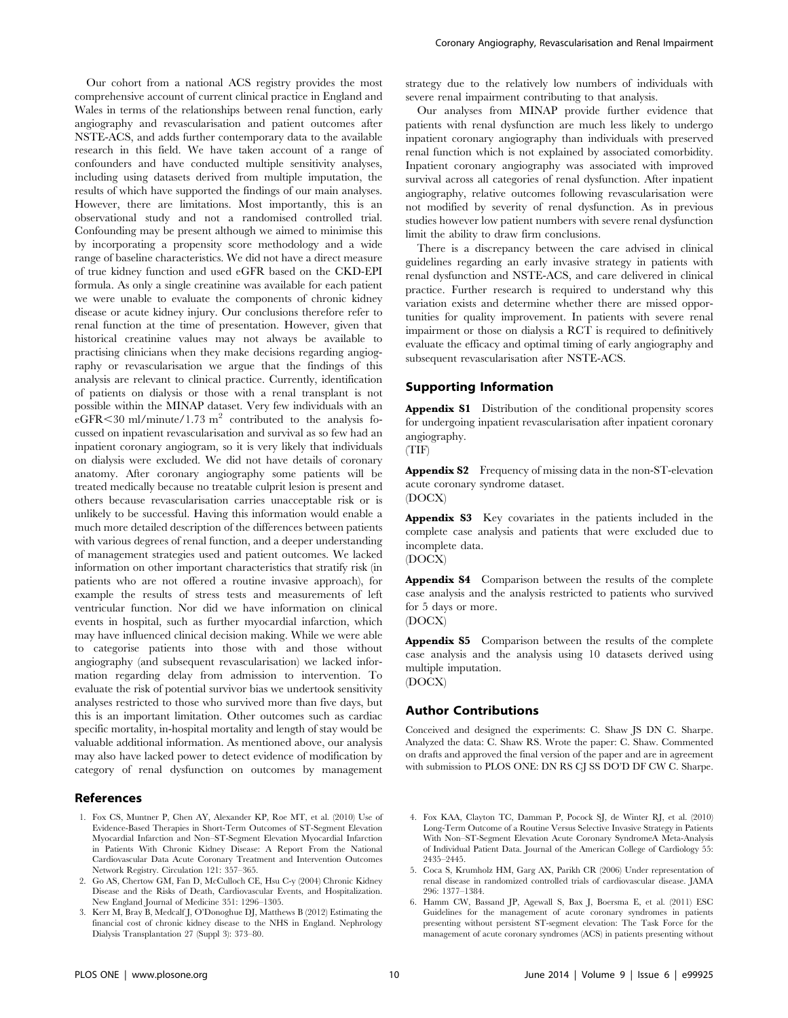Our cohort from a national ACS registry provides the most comprehensive account of current clinical practice in England and Wales in terms of the relationships between renal function, early angiography and revascularisation and patient outcomes after NSTE-ACS, and adds further contemporary data to the available research in this field. We have taken account of a range of confounders and have conducted multiple sensitivity analyses, including using datasets derived from multiple imputation, the results of which have supported the findings of our main analyses. However, there are limitations. Most importantly, this is an observational study and not a randomised controlled trial. Confounding may be present although we aimed to minimise this by incorporating a propensity score methodology and a wide range of baseline characteristics. We did not have a direct measure of true kidney function and used eGFR based on the CKD-EPI formula. As only a single creatinine was available for each patient we were unable to evaluate the components of chronic kidney disease or acute kidney injury. Our conclusions therefore refer to renal function at the time of presentation. However, given that historical creatinine values may not always be available to practising clinicians when they make decisions regarding angiography or revascularisation we argue that the findings of this analysis are relevant to clinical practice. Currently, identification of patients on dialysis or those with a renal transplant is not possible within the MINAP dataset. Very few individuals with an eGFR $\leq$ 30 ml/minute/1.73 m<sup>2</sup> contributed to the analysis focussed on inpatient revascularisation and survival as so few had an inpatient coronary angiogram, so it is very likely that individuals on dialysis were excluded. We did not have details of coronary anatomy. After coronary angiography some patients will be treated medically because no treatable culprit lesion is present and others because revascularisation carries unacceptable risk or is unlikely to be successful. Having this information would enable a much more detailed description of the differences between patients with various degrees of renal function, and a deeper understanding of management strategies used and patient outcomes. We lacked information on other important characteristics that stratify risk (in patients who are not offered a routine invasive approach), for example the results of stress tests and measurements of left ventricular function. Nor did we have information on clinical events in hospital, such as further myocardial infarction, which may have influenced clinical decision making. While we were able to categorise patients into those with and those without angiography (and subsequent revascularisation) we lacked information regarding delay from admission to intervention. To evaluate the risk of potential survivor bias we undertook sensitivity analyses restricted to those who survived more than five days, but this is an important limitation. Other outcomes such as cardiac specific mortality, in-hospital mortality and length of stay would be valuable additional information. As mentioned above, our analysis may also have lacked power to detect evidence of modification by category of renal dysfunction on outcomes by management

#### References

- 1. Fox CS, Muntner P, Chen AY, Alexander KP, Roe MT, et al. (2010) Use of Evidence-Based Therapies in Short-Term Outcomes of ST-Segment Elevation Myocardial Infarction and Non–ST-Segment Elevation Myocardial Infarction in Patients With Chronic Kidney Disease: A Report From the National Cardiovascular Data Acute Coronary Treatment and Intervention Outcomes Network Registry. Circulation 121: 357–365.
- 2. Go AS, Chertow GM, Fan D, McCulloch CE, Hsu C-y (2004) Chronic Kidney Disease and the Risks of Death, Cardiovascular Events, and Hospitalization. New England Journal of Medicine 351: 1296–1305.
- 3. Kerr M, Bray B, Medcalf J, O'Donoghue DJ, Matthews B (2012) Estimating the financial cost of chronic kidney disease to the NHS in England. Nephrology Dialysis Transplantation 27 (Suppl 3): 373–80.

strategy due to the relatively low numbers of individuals with severe renal impairment contributing to that analysis.

Our analyses from MINAP provide further evidence that patients with renal dysfunction are much less likely to undergo inpatient coronary angiography than individuals with preserved renal function which is not explained by associated comorbidity. Inpatient coronary angiography was associated with improved survival across all categories of renal dysfunction. After inpatient angiography, relative outcomes following revascularisation were not modified by severity of renal dysfunction. As in previous studies however low patient numbers with severe renal dysfunction limit the ability to draw firm conclusions.

There is a discrepancy between the care advised in clinical guidelines regarding an early invasive strategy in patients with renal dysfunction and NSTE-ACS, and care delivered in clinical practice. Further research is required to understand why this variation exists and determine whether there are missed opportunities for quality improvement. In patients with severe renal impairment or those on dialysis a RCT is required to definitively evaluate the efficacy and optimal timing of early angiography and subsequent revascularisation after NSTE-ACS.

#### Supporting Information

Appendix S1 Distribution of the conditional propensity scores for undergoing inpatient revascularisation after inpatient coronary angiography. (TIF)

Appendix S2 Frequency of missing data in the non-ST-elevation acute coronary syndrome dataset. (DOCX)

Appendix S3 Key covariates in the patients included in the complete case analysis and patients that were excluded due to incomplete data.

(DOCX)

Appendix S4 Comparison between the results of the complete case analysis and the analysis restricted to patients who survived for 5 days or more.

(DOCX)

Appendix S5 Comparison between the results of the complete case analysis and the analysis using 10 datasets derived using multiple imputation. (DOCX)

#### Author Contributions

Conceived and designed the experiments: C. Shaw JS DN C. Sharpe. Analyzed the data: C. Shaw RS. Wrote the paper: C. Shaw. Commented on drafts and approved the final version of the paper and are in agreement with submission to PLOS ONE: DN RS CJ SS DO'D DF CW C. Sharpe.

- 4. Fox KAA, Clayton TC, Damman P, Pocock SJ, de Winter RJ, et al. (2010) Long-Term Outcome of a Routine Versus Selective Invasive Strategy in Patients With Non–ST-Segment Elevation Acute Coronary SyndromeA Meta-Analysis of Individual Patient Data. Journal of the American College of Cardiology 55: 2435–2445.
- 5. Coca S, Krumholz HM, Garg AX, Parikh CR (2006) Under representation of renal disease in randomized controlled trials of cardiovascular disease. JAMA 296: 1377–1384.
- 6. Hamm CW, Bassand JP, Agewall S, Bax J, Boersma E, et al. (2011) ESC Guidelines for the management of acute coronary syndromes in patients presenting without persistent ST-segment elevation: The Task Force for the management of acute coronary syndromes (ACS) in patients presenting without